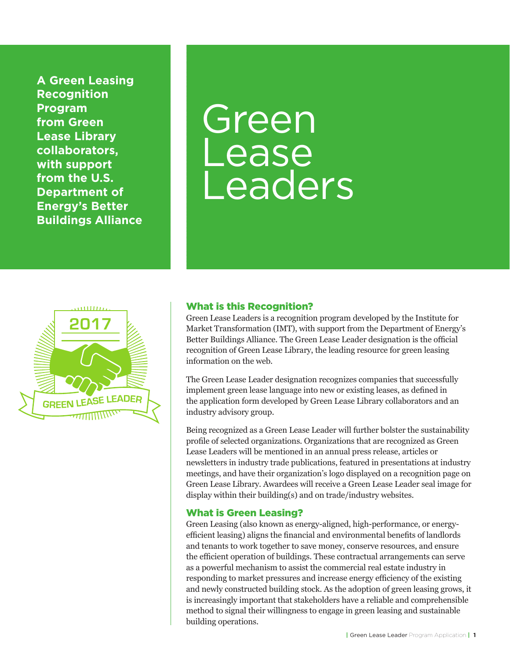**A Green Leasing Recognition Program from Green Lease Library collaborators, with support from the U.S. Department of Energy's Better Buildings Alliance**

# Green Lease Leaders



#### What is this Recognition?

Green Lease Leaders is a recognition program developed by the Institute for Market Transformation (IMT), with support from the Department of Energy's Better Buildings Alliance. The Green Lease Leader designation is the official recognition of Green Lease Library, the leading resource for green leasing information on the web.

The Green Lease Leader designation recognizes companies that successfully implement green lease language into new or existing leases, as defined in the application form developed by Green Lease Library collaborators and an industry advisory group.

Being recognized as a Green Lease Leader will further bolster the sustainability profile of selected organizations. Organizations that are recognized as Green Lease Leaders will be mentioned in an annual press release, articles or newsletters in industry trade publications, featured in presentations at industry meetings, and have their organization's logo displayed on a recognition page on Green Lease Library. Awardees will receive a Green Lease Leader seal image for display within their building(s) and on trade/industry websites.

#### What is Green Leasing?

Green Leasing (also known as energy-aligned, high-performance, or energyefficient leasing) aligns the financial and environmental benefits of landlords and tenants to work together to save money, conserve resources, and ensure the efficient operation of buildings. These contractual arrangements can serve as a powerful mechanism to assist the commercial real estate industry in responding to market pressures and increase energy efficiency of the existing and newly constructed building stock. As the adoption of green leasing grows, it is increasingly important that stakeholders have a reliable and comprehensible method to signal their willingness to engage in green leasing and sustainable building operations.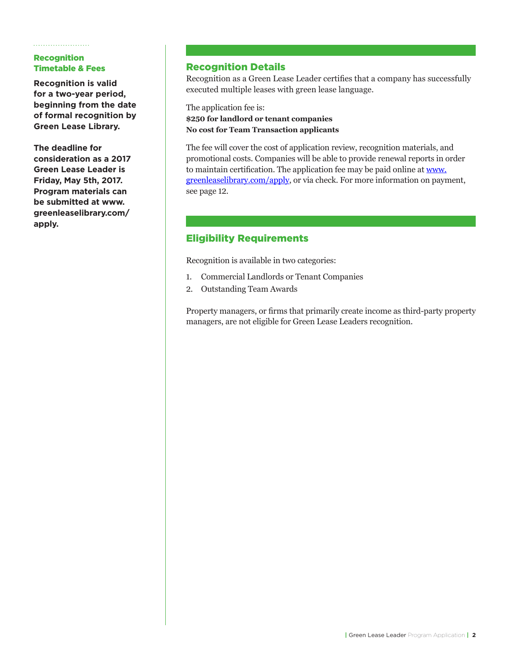#### Recognition Timetable & Fees

**Recognition is valid for a two-year period, beginning from the date of formal recognition by Green Lease Library.**

**The deadline for consideration as a 2017 Green Lease Leader is Friday, May 5th, 2017. Program materials can be submitted at www. greenleaselibrary.com/ apply.**

#### Recognition Details

Recognition as a Green Lease Leader certifies that a company has successfully executed multiple leases with green lease language.

The application fee is: **\$250 for landlord or tenant companies No cost for Team Transaction applicants**

The fee will cover the cost of application review, recognition materials, and promotional costs. Companies will be able to provide renewal reports in order to maintain certification. The application fee may be paid online at www. greenleaselibrary.com/apply, or via check. For more information on payment, see page 12.

### Eligibility Requirements

Recognition is available in two categories:

- 1. Commercial Landlords or Tenant Companies
- 2. Outstanding Team Awards

Property managers, or firms that primarily create income as third-party property managers, are not eligible for Green Lease Leaders recognition.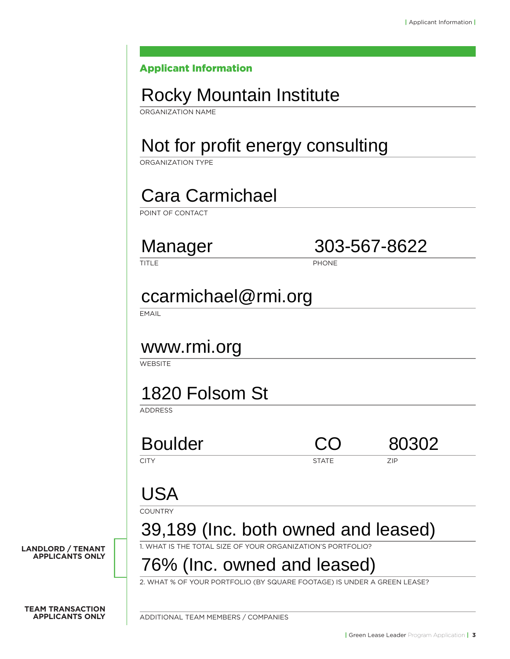#### Applicant Information

### Rocky Mountain Institute

ORGANIZATION NAME

## Not for profit energy consulting

ORGANIZATION TYPE

### Cara Carmichael

POINT OF CONTACT

Manager 303-567-8622

TITLE PHONE

### ccarmichael@rmi.org

**EMAIL** 

### www.rmi.org

**WEBSITE** 

### 1820 Folsom St

ADDRESS

Boulder CO 80302

CITY **STATE** ZIP

 $\Box$ 

### USA

**COUNTRY** 

**LANDLORD / TENANT APPLICANTS ONLY**

### 39,189 (Inc. both owned and leased)

1. WHAT IS THE TOTAL SIZE OF YOUR ORGANIZATION'S PORTFOLIO?

# 76% (Inc. owned and leased)

2. WHAT % OF YOUR PORTFOLIO (BY SQUARE FOOTAGE) IS UNDER A GREEN LEASE?

**TEAM TRANSACTION APPLICANTS ONLY** 

ADDITIONAL TEAM MEMBERS / COMPANIES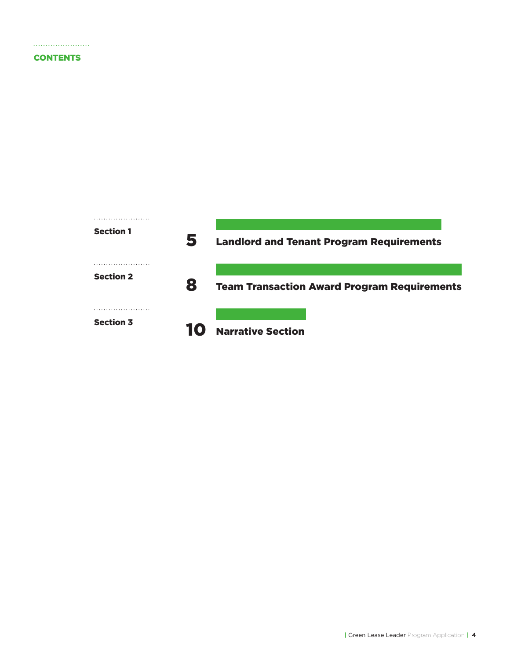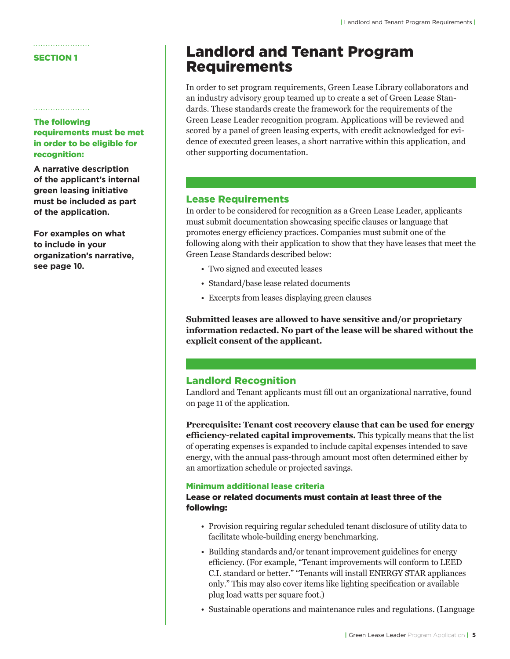#### SECTION 1

#### The following requirements must be met in order to be eligible for recognition:

**A narrative description of the applicant's internal green leasing initiative must be included as part of the application.** 

**For examples on what to include in your organization's narrative, see page 10.** 

### Landlord and Tenant Program Requirements

In order to set program requirements, Green Lease Library collaborators and an industry advisory group teamed up to create a set of Green Lease Standards. These standards create the framework for the requirements of the Green Lease Leader recognition program. Applications will be reviewed and scored by a panel of green leasing experts, with credit acknowledged for evidence of executed green leases, a short narrative within this application, and other supporting documentation.

#### Lease Requirements

In order to be considered for recognition as a Green Lease Leader, applicants must submit documentation showcasing specific clauses or language that promotes energy efficiency practices. Companies must submit one of the following along with their application to show that they have leases that meet the Green Lease Standards described below:

- Two signed and executed leases
- Standard/base lease related documents
- Excerpts from leases displaying green clauses

**Submitted leases are allowed to have sensitive and/or proprietary information redacted. No part of the lease will be shared without the explicit consent of the applicant.**

#### Landlord Recognition

Landlord and Tenant applicants must fill out an organizational narrative, found on page 11 of the application.

**Prerequisite: Tenant cost recovery clause that can be used for energy efficiency-related capital improvements.** This typically means that the list of operating expenses is expanded to include capital expenses intended to save energy, with the annual pass-through amount most often determined either by an amortization schedule or projected savings.

#### Minimum additional lease criteria

#### Lease or related documents must contain at least three of the following:

- Provision requiring regular scheduled tenant disclosure of utility data to facilitate whole-building energy benchmarking.
- Building standards and/or tenant improvement guidelines for energy efficiency. (For example, "Tenant improvements will conform to LEED C.I. standard or better." "Tenants will install ENERGY STAR appliances only." This may also cover items like lighting specification or available plug load watts per square foot.)
- Sustainable operations and maintenance rules and regulations. (Language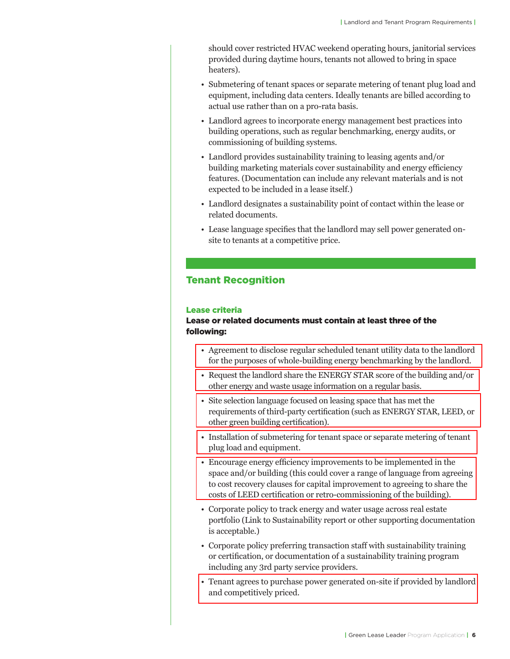should cover restricted HVAC weekend operating hours, janitorial services provided during daytime hours, tenants not allowed to bring in space heaters).

- Submetering of tenant spaces or separate metering of tenant plug load and equipment, including data centers. Ideally tenants are billed according to actual use rather than on a pro-rata basis.
- Landlord agrees to incorporate energy management best practices into building operations, such as regular benchmarking, energy audits, or commissioning of building systems.
- Landlord provides sustainability training to leasing agents and/or building marketing materials cover sustainability and energy efficiency features. (Documentation can include any relevant materials and is not expected to be included in a lease itself.)
- Landlord designates a sustainability point of contact within the lease or related documents.
- Lease language specifies that the landlord may sell power generated onsite to tenants at a competitive price.

#### Tenant Recognition

#### Lease criteria

#### Lease or related documents must contain at least three of the following:

- Agreement to disclose regular scheduled tenant utility data to the landlord for the purposes of whole-building energy benchmarking by the landlord.
- Request the landlord share the ENERGY STAR score of the building and/or other energy and waste usage information on a regular basis.
- Site selection language focused on leasing space that has met the requirements of third-party certification (such as ENERGY STAR, LEED, or other green building certification).
- Installation of submetering for tenant space or separate metering of tenant plug load and equipment.
- Encourage energy efficiency improvements to be implemented in the space and/or building (this could cover a range of language from agreeing to cost recovery clauses for capital improvement to agreeing to share the costs of LEED certification or retro-commissioning of the building).
- Corporate policy to track energy and water usage across real estate portfolio (Link to Sustainability report or other supporting documentation is acceptable.)
- Corporate policy preferring transaction staff with sustainability training or certification, or documentation of a sustainability training program including any 3rd party service providers.
- Tenant agrees to purchase power generated on-site if provided by landlord and competitively priced.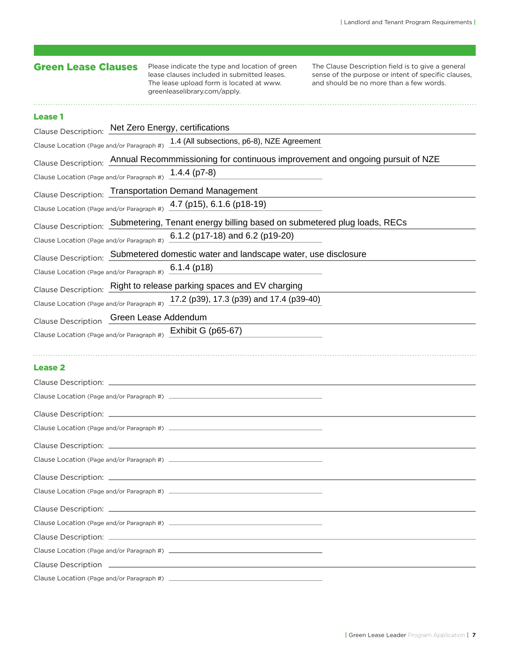| <b>Green Lease Clauses</b>                             | Please indicate the type and location of green<br>lease clauses included in submitted leases.<br>The lease upload form is located at www.<br>greenleaselibrary.com/apply. | The Clause Description field is to give a general<br>sense of the purpose or intent of specific clauses,<br>and should be no more than a few words. |
|--------------------------------------------------------|---------------------------------------------------------------------------------------------------------------------------------------------------------------------------|-----------------------------------------------------------------------------------------------------------------------------------------------------|
| <b>Lease 1</b>                                         |                                                                                                                                                                           |                                                                                                                                                     |
|                                                        | Clause Description: Net Zero Energy, certifications                                                                                                                       |                                                                                                                                                     |
|                                                        | Clause Location (Page and/or Paragraph #) 1.4 (All subsections, p6-8), NZE Agreement                                                                                      |                                                                                                                                                     |
|                                                        | Clause Description: Annual Recommmissioning for continuous improvement and ongoing pursuit of NZE                                                                         |                                                                                                                                                     |
| Clause Location (Page and/or Paragraph #) 1.4.4 (p7-8) |                                                                                                                                                                           |                                                                                                                                                     |
|                                                        | Clause Description: Transportation Demand Management                                                                                                                      |                                                                                                                                                     |
|                                                        | Clause Location (Page and/or Paragraph #) 4.7 (p15), 6.1.6 (p18-19)                                                                                                       |                                                                                                                                                     |
|                                                        | Clause Description: Submetering, Tenant energy billing based on submetered plug loads, RECs                                                                               |                                                                                                                                                     |
|                                                        | Clause Location (Page and/or Paragraph #) 6.1.2 (p17-18) and 6.2 (p19-20)                                                                                                 |                                                                                                                                                     |
|                                                        | Clause Description: Submetered domestic water and landscape water, use disclosure                                                                                         |                                                                                                                                                     |
| Clause Location (Page and/or Paragraph #) 6.1.4 (p18)  |                                                                                                                                                                           |                                                                                                                                                     |
|                                                        | Clause Description: Right to release parking spaces and EV charging                                                                                                       |                                                                                                                                                     |
|                                                        | Clause Location (Page and/or Paragraph #) 17.2 (p39), 17.3 (p39) and 17.4 (p39-40)                                                                                        |                                                                                                                                                     |
|                                                        |                                                                                                                                                                           |                                                                                                                                                     |
| Clause Description Green Lease Addendum                |                                                                                                                                                                           |                                                                                                                                                     |
|                                                        | Clause Location (Page and/or Paragraph #) Exhibit G (p65-67)                                                                                                              |                                                                                                                                                     |
| <b>Lease 2</b>                                         |                                                                                                                                                                           |                                                                                                                                                     |
|                                                        |                                                                                                                                                                           |                                                                                                                                                     |
|                                                        |                                                                                                                                                                           |                                                                                                                                                     |
|                                                        |                                                                                                                                                                           |                                                                                                                                                     |
|                                                        |                                                                                                                                                                           |                                                                                                                                                     |
|                                                        |                                                                                                                                                                           |                                                                                                                                                     |
|                                                        |                                                                                                                                                                           |                                                                                                                                                     |
|                                                        |                                                                                                                                                                           |                                                                                                                                                     |
|                                                        |                                                                                                                                                                           |                                                                                                                                                     |
|                                                        |                                                                                                                                                                           |                                                                                                                                                     |
|                                                        |                                                                                                                                                                           |                                                                                                                                                     |
|                                                        |                                                                                                                                                                           |                                                                                                                                                     |
|                                                        |                                                                                                                                                                           |                                                                                                                                                     |
|                                                        |                                                                                                                                                                           |                                                                                                                                                     |
|                                                        |                                                                                                                                                                           |                                                                                                                                                     |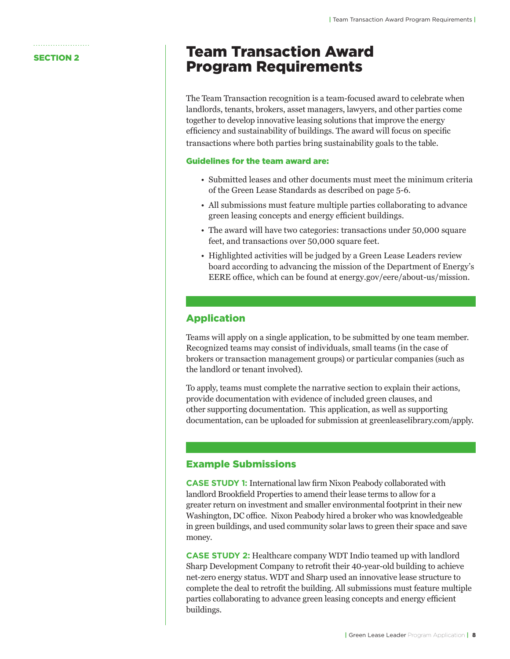### **SECTION 2** Team Transaction Award Program Requirements

The Team Transaction recognition is a team-focused award to celebrate when landlords, tenants, brokers, asset managers, lawyers, and other parties come together to develop innovative leasing solutions that improve the energy efficiency and sustainability of buildings. The award will focus on specific transactions where both parties bring sustainability goals to the table.

#### Guidelines for the team award are:

- Submitted leases and other documents must meet the minimum criteria of the Green Lease Standards as described on page 5-6.
- All submissions must feature multiple parties collaborating to advance green leasing concepts and energy efficient buildings.
- The award will have two categories: transactions under 50,000 square feet, and transactions over 50,000 square feet.
- Highlighted activities will be judged by a Green Lease Leaders review board according to advancing the mission of the Department of Energy's EERE office, which can be found at energy.gov/eere/about-us/mission.

#### Application

Teams will apply on a single application, to be submitted by one team member. Recognized teams may consist of individuals, small teams (in the case of brokers or transaction management groups) or particular companies (such as the landlord or tenant involved).

To apply, teams must complete the narrative section to explain their actions, provide documentation with evidence of included green clauses, and other supporting documentation. This application, as well as supporting documentation, can be uploaded for submission at greenleaselibrary.com/apply.

#### Example Submissions

**CASE STUDY 1:** International law firm Nixon Peabody collaborated with landlord Brookfield Properties to amend their lease terms to allow for a greater return on investment and smaller environmental footprint in their new Washington, DC office. Nixon Peabody hired a broker who was knowledgeable in green buildings, and used community solar laws to green their space and save money.

**CASE STUDY 2:** Healthcare company WDT Indio teamed up with landlord Sharp Development Company to retrofit their 40-year-old building to achieve net-zero energy status. WDT and Sharp used an innovative lease structure to complete the deal to retrofit the building. All submissions must feature multiple parties collaborating to advance green leasing concepts and energy efficient buildings.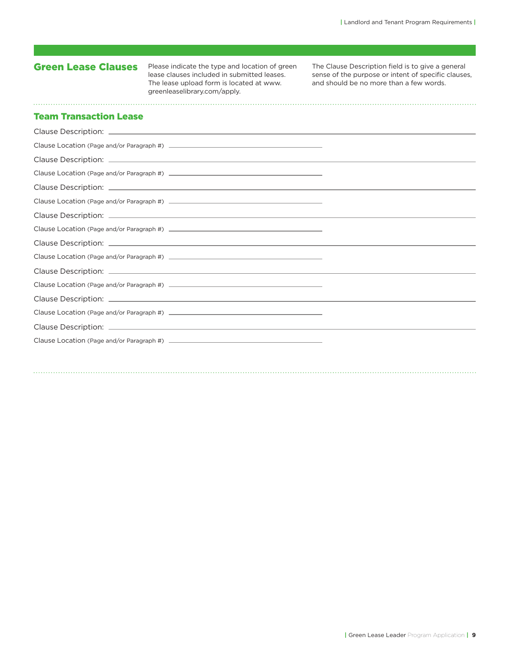### Green Lease Clauses

Please indicate the type and location of green lease clauses included in submitted leases. The lease upload form is located at www. greenleaselibrary.com/apply.

The Clause Description field is to give a general sense of the purpose or intent of specific clauses, and should be no more than a few words.

#### Team Transaction Lease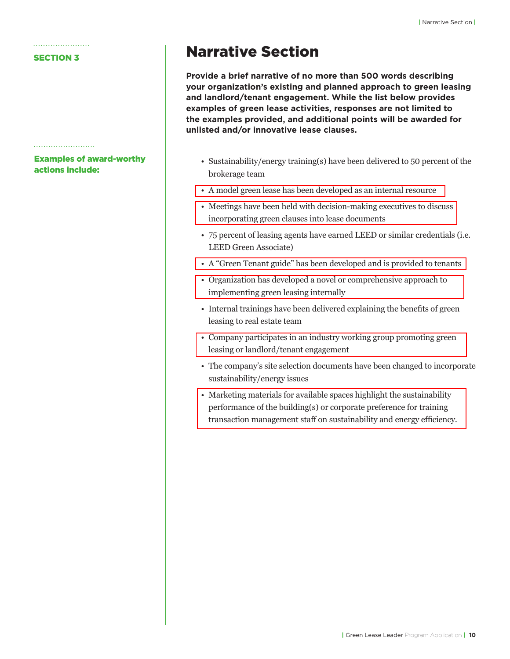#### SECTION 3

Examples of award-worthy actions include:

### Narrative Section

**Provide a brief narrative of no more than 500 words describing your organization's existing and planned approach to green leasing and landlord/tenant engagement. While the list below provides examples of green lease activities, responses are not limited to the examples provided, and additional points will be awarded for unlisted and/or innovative lease clauses.** 

- Sustainability/energy training(s) have been delivered to 50 percent of the brokerage team
- A model green lease has been developed as an internal resource
- Meetings have been held with decision-making executives to discuss incorporating green clauses into lease documents
- 75 percent of leasing agents have earned LEED or similar credentials (i.e. LEED Green Associate)
- A "Green Tenant guide" has been developed and is provided to tenants
- Organization has developed a novel or comprehensive approach to implementing green leasing internally
- Internal trainings have been delivered explaining the benefits of green leasing to real estate team
- Company participates in an industry working group promoting green leasing or landlord/tenant engagement
- The company's site selection documents have been changed to incorporate sustainability/energy issues
- Marketing materials for available spaces highlight the sustainability performance of the building(s) or corporate preference for training transaction management staff on sustainability and energy efficiency.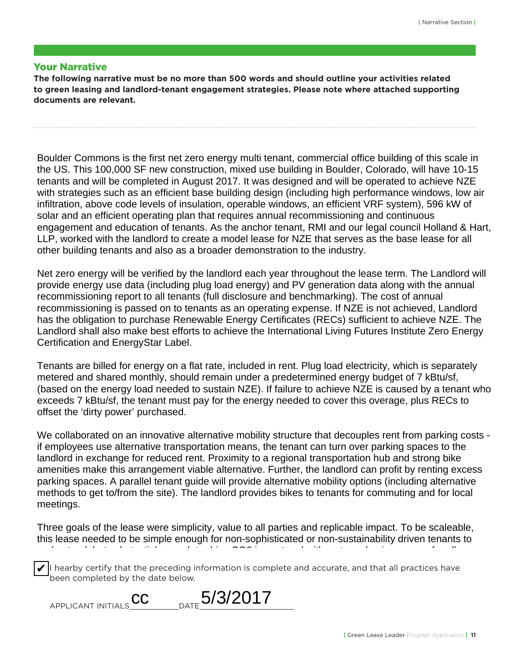#### Your Narrative

**The following narrative must be no more than 500 words and should outline your activities related to green leasing and landlord-tenant engagement strategies. Please note where attached supporting documents are relevant.**

Boulder Commons is the first net zero energy multi tenant, commercial office building of this scale in the US. This 100,000 SF new construction, mixed use building in Boulder, Colorado, will have 10-15 tenants and will be completed in August 2017. It was designed and will be operated to achieve NZE with strategies such as an efficient base building design (including high performance windows, low air infiltration, above code levels of insulation, operable windows, an efficient VRF system), 596 kW of solar and an efficient operating plan that requires annual recommissioning and continuous engagement and education of tenants. As the anchor tenant, RMI and our legal council Holland & Hart, LLP, worked with the landlord to create a model lease for NZE that serves as the base lease for all other building tenants and also as a broader demonstration to the industry.

Net zero energy will be verified by the landlord each year throughout the lease term. The Landlord will provide energy use data (including plug load energy) and PV generation data along with the annual recommissioning report to all tenants (full disclosure and benchmarking). The cost of annual recommissioning is passed on to tenants as an operating expense. If NZE is not achieved, Landlord has the obligation to purchase Renewable Energy Certificates (RECs) sufficient to achieve NZE. The Landlord shall also make best efforts to achieve the International Living Futures Institute Zero Energy Certification and EnergyStar Label.

Tenants are billed for energy on a flat rate, included in rent. Plug load electricity, which is separately metered and shared monthly, should remain under a predetermined energy budget of 7 kBtu/sf, (based on the energy load needed to sustain NZE). If failure to achieve NZE is caused by a tenant who exceeds 7 kBtu/sf, the tenant must pay for the energy needed to cover this overage, plus RECs to offset the 'dirty power' purchased.

We collaborated on an innovative alternative mobility structure that decouples rent from parking costs if employees use alternative transportation means, the tenant can turn over parking spaces to the landlord in exchange for reduced rent. Proximity to a regional transportation hub and strong bike amenities make this arrangement viable alternative. Further, the landlord can profit by renting excess parking spaces. A parallel tenant guide will provide alternative mobility options (including alternative methods to get to/from the site). The landlord provides bikes to tenants for commuting and for local meetings.

Three goals of the lease were simplicity, value to all parties and replicable impact. To be scaleable, this lease needed to be simple enough for non-sophisticated or non-sustainability driven tenants to understand, but substantial enough to drive CO2 impact and with a strong business case for all

 $\overline{\blacktriangledown}$ I hearby certify that the preceding information is complete and accurate, and that all practices have been completed by the date below.  $\omega$  of  $\omega$  represents is to scale  $\omega$  and  $\omega$  and  $\omega$  has already given least  $\omega$ 

| $\Gamma$ $\Omega$ $\Omega$ $\Omega$ $\Gamma$<br>~~<br>$_{\text{DATE}}$ 3/3/20<br>APPLICANT INITIALS |
|-----------------------------------------------------------------------------------------------------|
|-----------------------------------------------------------------------------------------------------|

✔